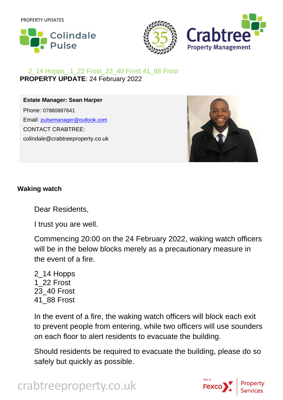



## 2\_14 Hopps\_ 1\_22 Frost\_23\_40 Frost 41\_88 Frost **PROPERTY UPDATE**: 24 February 2022

**Estate Manager: Sean Harper** Phone: 07880887641 Email: [pulsemanager@outlook.com](mailto:pulsemanager@outlook.com) CONTACT CRABTREE: colindale@crabtreeproperty.co.uk



## **Waking watch**

Dear Residents,

I trust you are well.

Commencing 20:00 on the 24 February 2022, waking watch officers will be in the below blocks merely as a precautionary measure in the event of a fire.

2\_14 Hopps 1\_22 Frost 23\_40 Frost 41\_88 Frost

In the event of a fire, the waking watch officers will block each exit to prevent people from entering, while two officers will use sounders on each floor to alert residents to evacuate the building.

Should residents be required to evacuate the building, please do so safely but quickly as possible.



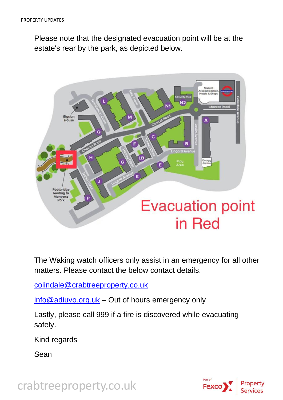Please note that the designated evacuation point will be at the estate's rear by the park, as depicted below.



The Waking watch officers only assist in an emergency for all other matters. Please contact the below contact details.

[colindale@crabtreeproperty.co.uk](mailto:colindale@crabtreeproperty.co.uk)

[info@adiuvo.org.uk](mailto:info@adiuvo.org.uk) - Out of hours emergency only

Lastly, please call 999 if a fire is discovered while evacuating safely.

Kind regards

Sean